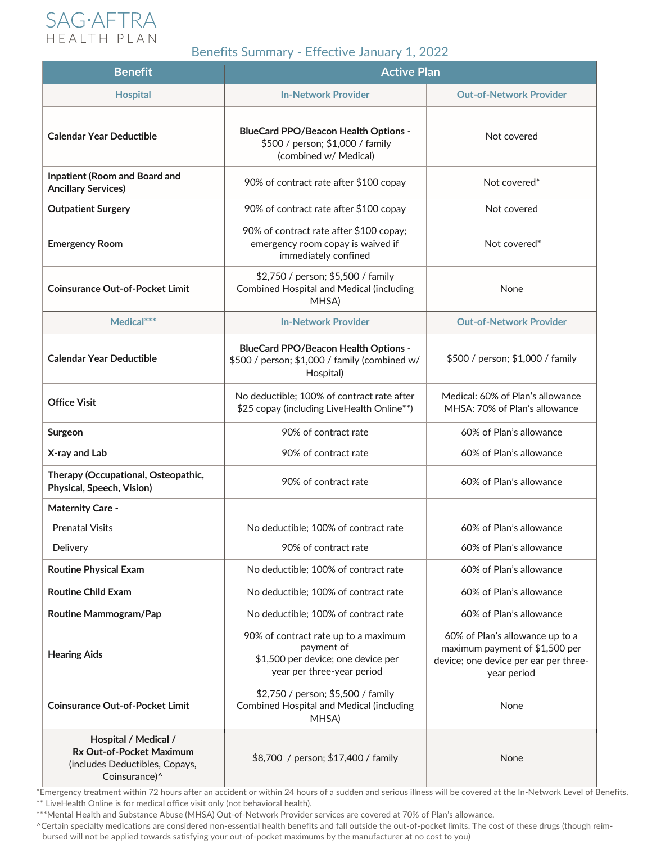

## Benefits Summary - Effective January 1, 2022

| <b>Benefit</b>                                                                                      | <b>Active Plan</b>                                                                                                     |                                                                                                                           |
|-----------------------------------------------------------------------------------------------------|------------------------------------------------------------------------------------------------------------------------|---------------------------------------------------------------------------------------------------------------------------|
| <b>Hospital</b>                                                                                     | <b>In-Network Provider</b>                                                                                             | <b>Out-of-Network Provider</b>                                                                                            |
| <b>Calendar Year Deductible</b>                                                                     | <b>BlueCard PPO/Beacon Health Options -</b><br>\$500 / person; \$1,000 / family<br>(combined w/ Medical)               | Not covered                                                                                                               |
| <b>Inpatient (Room and Board and</b><br><b>Ancillary Services)</b>                                  | 90% of contract rate after \$100 copay                                                                                 | Not covered*                                                                                                              |
| <b>Outpatient Surgery</b>                                                                           | 90% of contract rate after \$100 copay                                                                                 | Not covered                                                                                                               |
| <b>Emergency Room</b>                                                                               | 90% of contract rate after \$100 copay;<br>emergency room copay is waived if<br>immediately confined                   | Not covered <sup>*</sup>                                                                                                  |
| <b>Coinsurance Out-of-Pocket Limit</b>                                                              | \$2,750 / person; \$5,500 / family<br><b>Combined Hospital and Medical (including</b><br>MHSA)                         | None                                                                                                                      |
| Medical***                                                                                          | <b>In-Network Provider</b>                                                                                             | <b>Out-of-Network Provider</b>                                                                                            |
| <b>Calendar Year Deductible</b>                                                                     | <b>BlueCard PPO/Beacon Health Options -</b><br>\$500 / person; \$1,000 / family (combined w/<br>Hospital)              | \$500 / person; \$1,000 / family                                                                                          |
| <b>Office Visit</b>                                                                                 | No deductible; 100% of contract rate after<br>\$25 copay (including LiveHealth Online**)                               | Medical: 60% of Plan's allowance<br>MHSA: 70% of Plan's allowance                                                         |
| Surgeon                                                                                             | 90% of contract rate                                                                                                   | 60% of Plan's allowance                                                                                                   |
| X-ray and Lab                                                                                       | 90% of contract rate                                                                                                   | 60% of Plan's allowance                                                                                                   |
| Therapy (Occupational, Osteopathic,<br>Physical, Speech, Vision)                                    | 90% of contract rate                                                                                                   | 60% of Plan's allowance                                                                                                   |
| <b>Maternity Care -</b>                                                                             |                                                                                                                        |                                                                                                                           |
| <b>Prenatal Visits</b>                                                                              | No deductible; 100% of contract rate                                                                                   | 60% of Plan's allowance                                                                                                   |
| Delivery                                                                                            | 90% of contract rate                                                                                                   | 60% of Plan's allowance                                                                                                   |
| <b>Routine Physical Exam</b>                                                                        | No deductible; 100% of contract rate                                                                                   | 60% of Plan's allowance                                                                                                   |
| <b>Routine Child Exam</b>                                                                           | No deductible; 100% of contract rate                                                                                   | 60% of Plan's allowance                                                                                                   |
| <b>Routine Mammogram/Pap</b>                                                                        | No deductible; 100% of contract rate                                                                                   | 60% of Plan's allowance                                                                                                   |
| <b>Hearing Aids</b>                                                                                 | 90% of contract rate up to a maximum<br>payment of<br>\$1,500 per device; one device per<br>year per three-year period | 60% of Plan's allowance up to a<br>maximum payment of \$1,500 per<br>device; one device per ear per three-<br>year period |
| <b>Coinsurance Out-of-Pocket Limit</b>                                                              | \$2,750 / person; \$5,500 / family<br><b>Combined Hospital and Medical (including</b><br>MHSA)                         | None                                                                                                                      |
| Hospital / Medical /<br>Rx Out-of-Pocket Maximum<br>(includes Deductibles, Copays,<br>Coinsurance)^ | \$8,700 / person; \$17,400 / family                                                                                    | None                                                                                                                      |

 $\overline{\phantom{a}^{\text{L}}\,}$   $\overline{\phantom{a}^{\text{L}}\,}$   $\overline{\phantom{a}^{\text{L}}\,}$   $\overline{\phantom{a}^{\text{L}}\,}$   $\overline{\phantom{a}^{\text{L}}\,}$   $\overline{\phantom{a}^{\text{L}}\,}$   $\overline{\phantom{a}^{\text{L}}\,}$   $\overline{\phantom{a}^{\text{L}}\,}$   $\overline{\phantom{a}^{\text{L}}\,}$   $\overline{\phantom{a}^{\text{L}}\,}$   $\overline{\phantom{a}^$ \*\* LiveHealth Online is for medical office visit only (not behavioral health).

\*\*\*Mental Health and Substance Abuse (MHSA) Out-of-Network Provider services are covered at 70% of Plan's allowance.

 ^Certain specialty medications are considered non-essential health benefits and fall outside the out-of-pocket limits. The cost of these drugs (though reim bursed will not be applied towards satisfying your out-of-pocket maximums by the manufacturer at no cost to you)